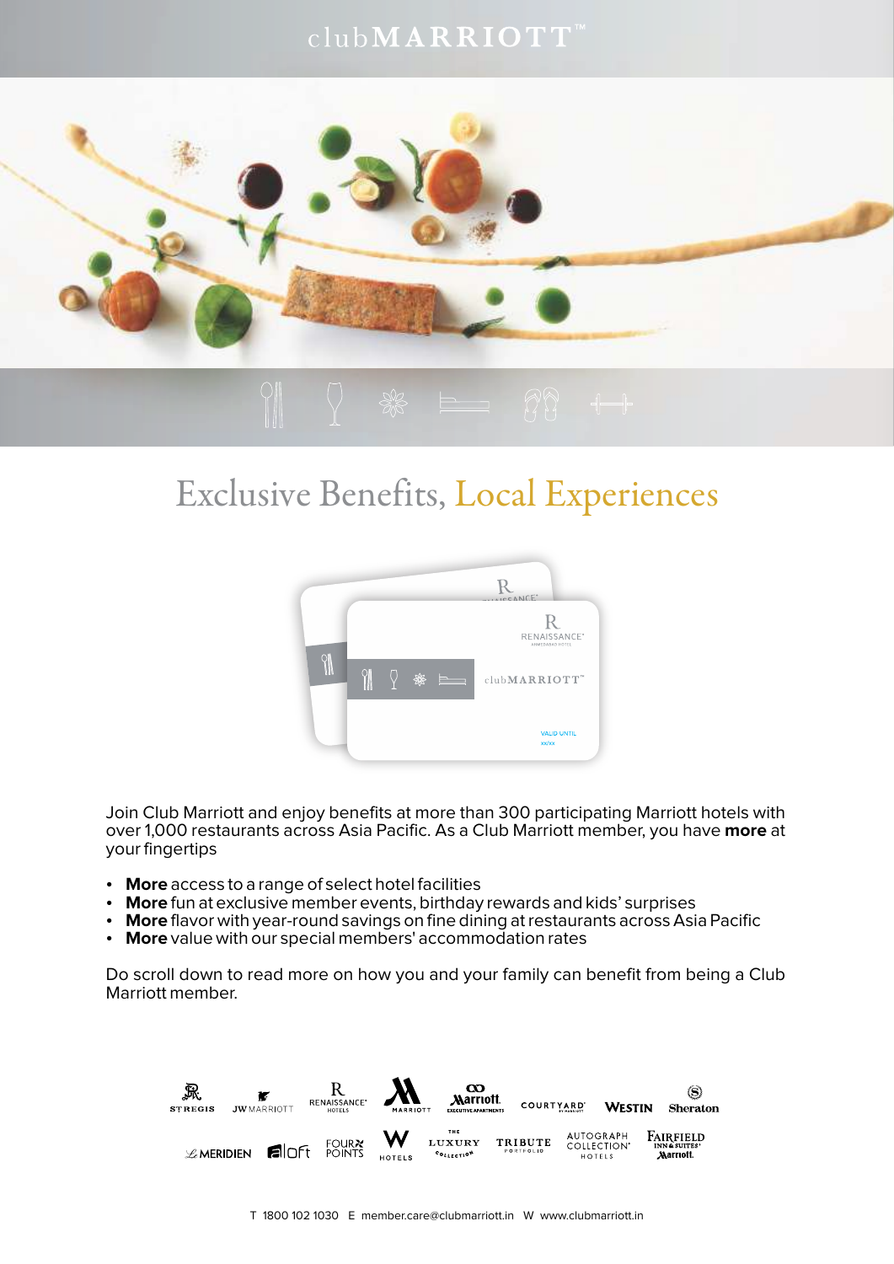## $\text{club} \textbf{M} \textbf{AR} \textbf{R} \textbf{I} \textbf{O} \textbf{T} \textbf{T}^{\text{m}}$



# Exclusive Benefits, Local Experiences



Join Club Marriott and enjoy benefits at more than 300 participating Marriott hotels with over 1,000 restaurants across Asia Pacific. As a Club Marriott member, you have **more** at your fingertips

- **More** access to a range of select hotel facilities
- More fun at exclusive member events, birthday rewards and kids' surprises
- **More** flavor with year-round savings on fine dining at restaurants across Asia Pacific
- More value with our special members' accommodation rates

Do scroll down to read more on how you and your family can benefit from being a Club Marriott member.

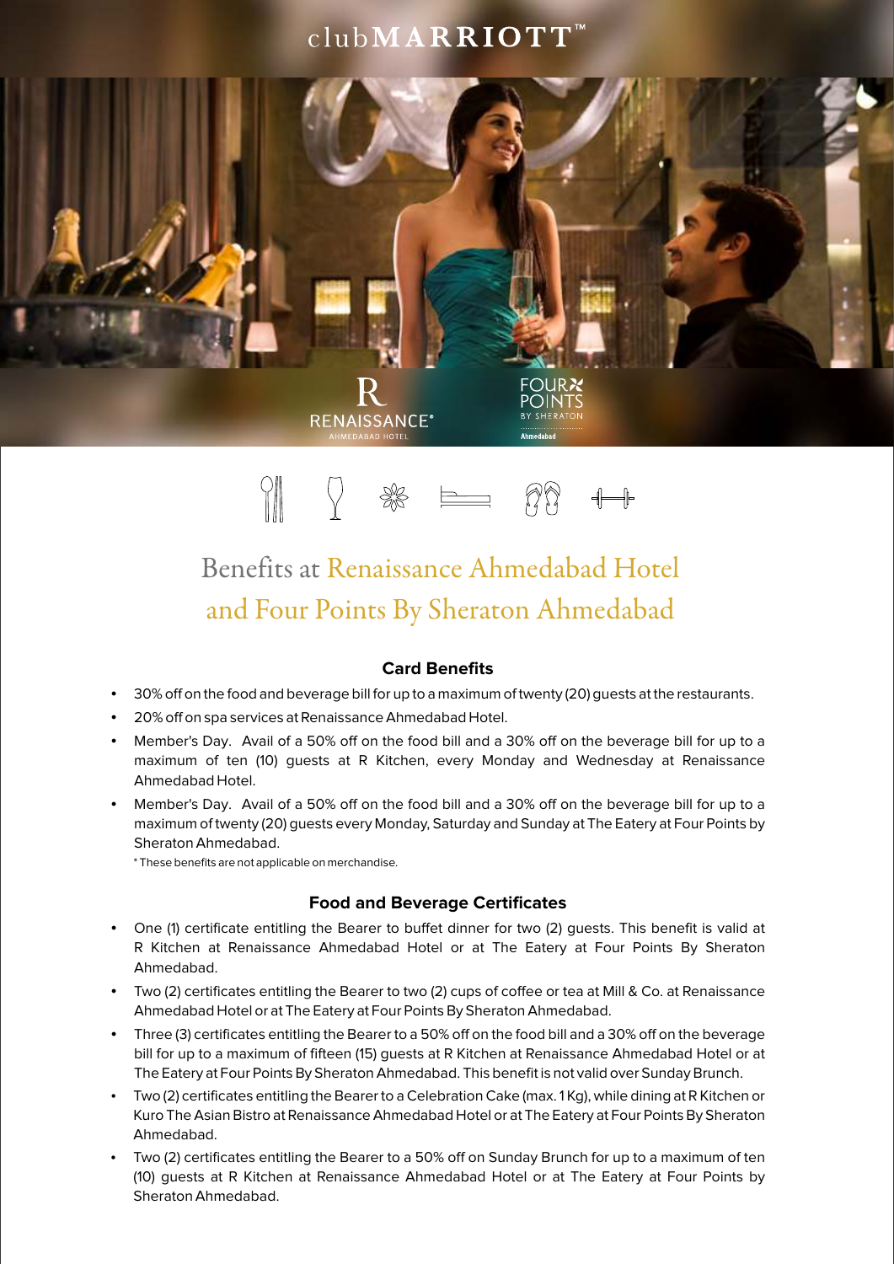## clubMARRIOTT<sup>™</sup>



# Benefits at Renaissance Ahmedabad Hotel and Four Points By Sheraton Ahmedabad

#### **Card Benefits**

- 30% off on the food and beverage bill for up to a maximum of twenty (20) guests at the restaurants.
- $\bullet$  20% off on spa services at Renaissance Ahmedabad Hotel.
- Member's Day. Avail of a 50% off on the food bill and a 30% off on the beverage bill for up to a maximum of ten (10) guests at R Kitchen, every Monday and Wednesday at Renaissance Ahmedabad Hotel.
- Member's Day. Avail of a 50% off on the food bill and a 30% off on the beverage bill for up to a maximum of twenty (20) guests every Monday, Saturday and Sunday at The Eatery at Four Points by Sheraton Ahmedabad.

\* These benefits are not applicable on merchandise.

#### **Food and Beverage Certificates**

- One (1) certificate entitling the Bearer to buffet dinner for two (2) guests. This benefit is valid at R Kitchen at Renaissance Ahmedabad Hotel or at The Eatery at Four Points By Sheraton Ahmedabad.
- Two (2) certificates entitling the Bearer to two (2) cups of coffee or tea at Mill & Co. at Renaissance Ahmedabad Hotel or at The Eatery at Four Points By Sheraton Ahmedabad.
- Three (3) certificates entitling the Bearer to a 50% off on the food bill and a 30% off on the beverage bill for up to a maximum of fifteen (15) guests at R Kitchen at Renaissance Ahmedabad Hotel or at The Eatery at Four Points By Sheraton Ahmedabad. This benefit is not valid over Sunday Brunch.
- Two (2) certificates entitling the Bearer to a Celebration Cake (max. 1 Kg), while dining at R Kitchen or Kuro The Asian Bistro at Renaissance Ahmedabad Hotel or at The Eatery at Four Points By Sheraton Ahmedabad.
- Two (2) certificates entitling the Bearer to a 50% off on Sunday Brunch for up to a maximum of ten (10) guests at R Kitchen at Renaissance Ahmedabad Hotel or at The Eatery at Four Points by Sheraton Ahmedabad.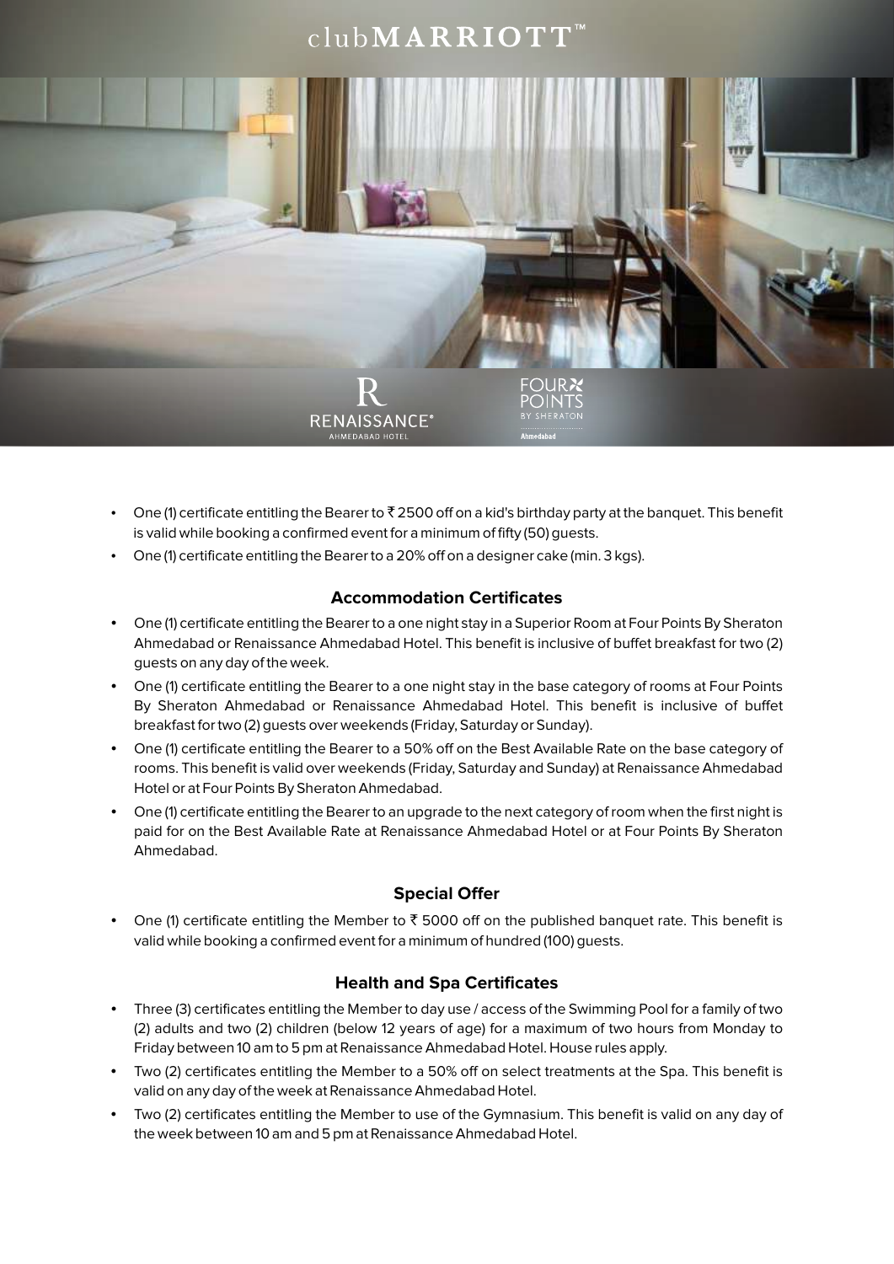## $\text{club} \textbf{M} \textbf{AR} \textbf{R} \textbf{I} \textbf{O} \textbf{T} \textbf{T}$



- One (1) certificate entitling the Bearer to  $\bar{x}$  2500 off on a kid's birthday party at the banquet. This benefit is valid while booking a confirmed event for a minimum of fifty (50) guests.
- $\bullet$  One (1) certificate entitling the Bearer to a 20% off on a designer cake (min. 3 kgs).

### **Accommodation Certificates**

- One (1) certificate entitling the Bearer to a one night stay in a Superior Room at Four Points By Sheraton Ahmedabad or Renaissance Ahmedabad Hotel. This benefit is inclusive of buffet breakfast for two (2) guests on any day of the week.
- One (1) certificate entitling the Bearer to a one night stay in the base category of rooms at Four Points By Sheraton Ahmedabad or Renaissance Ahmedabad Hotel. This benefit is inclusive of buffet breakfast for two (2) guests over weekends (Friday, Saturday or Sunday).
- One (1) certificate entitling the Bearer to a 50% off on the Best Available Rate on the base category of rooms. This benefit is valid over weekends (Friday, Saturday and Sunday) at Renaissance Ahmedabad Hotel or at Four Points By Sheraton Ahmedabad.
- One (1) certificate entitling the Bearer to an upgrade to the next category of room when the first night is paid for on the Best Available Rate at Renaissance Ahmedabad Hotel or at Four Points By Sheraton Ahmedabad.

### **Special Offer**

One (1) certificate entitling the Member to  $\bar{\tau}$  5000 off on the published banquet rate. This benefit is valid while booking a confirmed event for a minimum of hundred (100) guests.

#### **Health and Spa Certificates**

- Three (3) certificates entitling the Member to day use / access of the Swimming Pool for a family of two (2) adults and two (2) children (below 12 years of age) for a maximum of two hours from Monday to Friday between 10 am to 5 pm at Renaissance Ahmedabad Hotel. House rules apply.
- Two (2) certificates entitling the Member to a 50% off on select treatments at the Spa. This benefit is valid on any day of the week at Renaissance Ahmedabad Hotel.
- Two (2) certificates entitling the Member to use of the Gymnasium. This benefit is valid on any day of the week between 10 am and 5 pm at Renaissance Ahmedabad Hotel.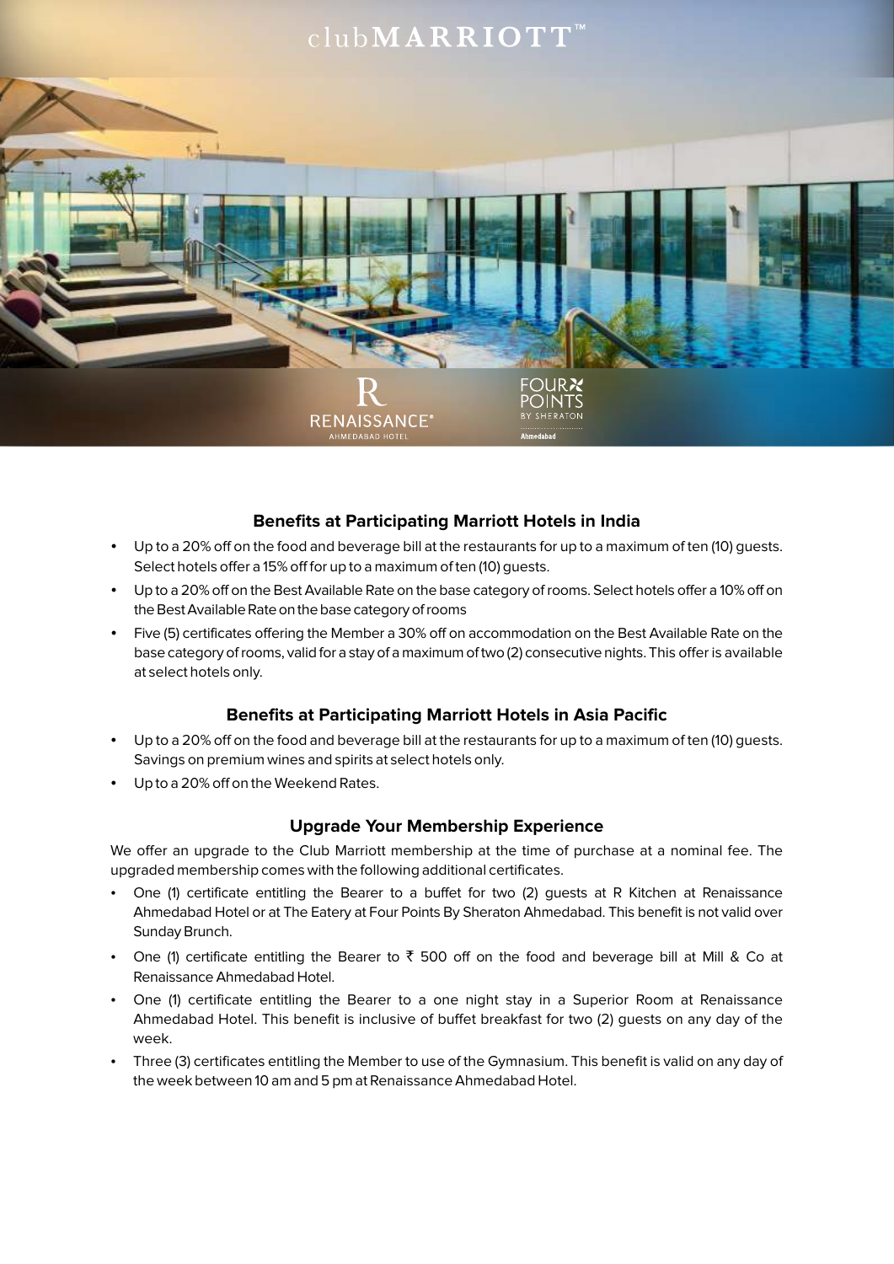

### **Benefits at Participating Marriott Hotels in India**

- Up to a 20% off on the food and beverage bill at the restaurants for up to a maximum of ten (10) quests. Select hotels offer a 15% off for up to a maximum of ten (10) guests.
- Up to a 20% off on the Best Available Rate on the base category of rooms. Select hotels offer a 10% off on the Best Available Rate on the base category of rooms
- Five (5) certificates offering the Member a 30% off on accommodation on the Best Available Rate on the base category ofrooms, valid for a stay of a maximum oftwo (2) consecutive nights. This offer is available at select hotels only.

#### **Benefits at Participating Marriott Hotels in Asia Pacific**

- Up to a 20% off on the food and beverage bill at the restaurants for up to a maximum of ten (10) guests. Savings on premium wines and spirits at select hotels only.
- Up to a 20% off on the Weekend Rates.

#### **Upgrade Your Membership Experience**

We offer an upgrade to the Club Marriott membership at the time of purchase at a nominal fee. The upgraded membership comes with the following additional certificates.

- One (1) certificate entitling the Bearer to a buffet for two (2) guests at R Kitchen at Renaissance Ahmedabad Hotel or at The Eatery at Four Points By Sheraton Ahmedabad. This benefit is not valid over Sunday Brunch.
- One (1) certificate entitling the Bearer to  $\bar{x}$  500 off on the food and beverage bill at Mill & Co at Renaissance Ahmedabad Hotel.
- One (1) certificate entitling the Bearer to a one night stay in a Superior Room at Renaissance Ahmedabad Hotel. This benefit is inclusive of buffet breakfast for two (2) guests on any day of the week.
- Three (3) certificates entitling the Member to use of the Gymnasium. This benefit is valid on any day of the week between 10 am and 5 pm at Renaissance Ahmedabad Hotel.